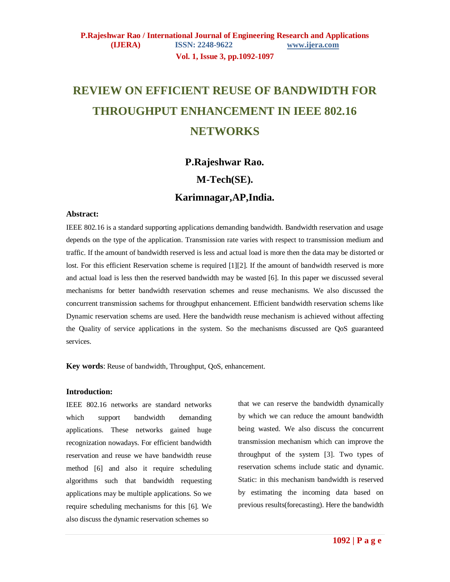**Vol. 1, Issue 3, pp.1092-1097**

# **REVIEW ON EFFICIENT REUSE OF BANDWIDTH FOR THROUGHPUT ENHANCEMENT IN IEEE 802.16 NETWORKS**

# **P.Rajeshwar Rao.**

# **M-Tech(SE).**

# **Karimnagar,AP,India.**

### **Abstract:**

IEEE 802.16 is a standard supporting applications demanding bandwidth. Bandwidth reservation and usage depends on the type of the application. Transmission rate varies with respect to transmission medium and traffic. If the amount of bandwidth reserved is less and actual load is more then the data may be distorted or lost. For this efficient Reservation scheme is required [1][2]. If the amount of bandwidth reserved is more and actual load is less then the reserved bandwidth may be wasted [6]. In this paper we discussed several mechanisms for better bandwidth reservation schemes and reuse mechanisms. We also discussed the concurrent transmission sachems for throughput enhancement. Efficient bandwidth reservation schems like Dynamic reservation schems are used. Here the bandwidth reuse mechanism is achieved without affecting the Quality of service applications in the system. So the mechanisms discussed are QoS guaranteed services.

**Key words**: Reuse of bandwidth, Throughput, QoS, enhancement.

### **Introduction:**

IEEE 802.16 networks are standard networks which support bandwidth demanding applications. These networks gained huge recognization nowadays. For efficient bandwidth reservation and reuse we have bandwidth reuse method [6] and also it require scheduling algorithms such that bandwidth requesting applications may be multiple applications. So we require scheduling mechanisms for this [6]. We also discuss the dynamic reservation schemes so

that we can reserve the bandwidth dynamically by which we can reduce the amount bandwidth being wasted. We also discuss the concurrent transmission mechanism which can improve the throughput of the system [3]. Two types of reservation schems include static and dynamic. Static: in this mechanism bandwidth is reserved by estimating the incoming data based on previous results(forecasting). Here the bandwidth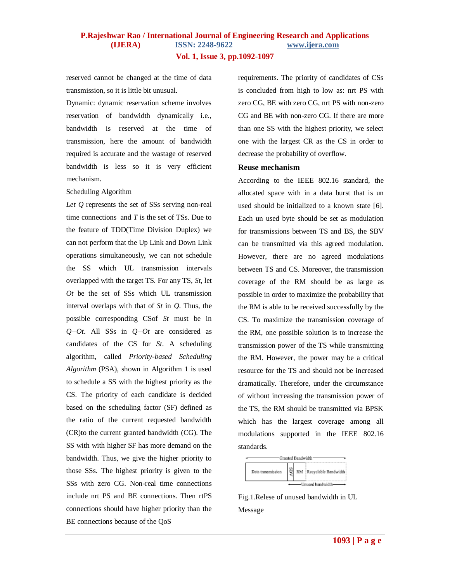**Vol. 1, Issue 3, pp.1092-1097**

reserved cannot be changed at the time of data transmission, so it is little bit unusual.

Dynamic: dynamic reservation scheme involves reservation of bandwidth dynamically i.e., bandwidth is reserved at the time of transmission, here the amount of bandwidth required is accurate and the wastage of reserved bandwidth is less so it is very efficient mechanism.

Scheduling Algorithm

Let Q represents the set of SSs serving non-real time connections and *T* is the set of TSs. Due to the feature of TDD(Time Division Duplex) we can not perform that the Up Link and Down Link operations simultaneously, we can not schedule the SS which UL transmission intervals overlapped with the target TS. For any TS, *St*, let *Ot* be the set of SSs which UL transmission interval overlaps with that of *St* in *Q*. Thus, the possible corresponding CSof *St* must be in *Q−Ot*. All SSs in *Q−Ot* are considered as candidates of the CS for *St*. A scheduling algorithm, called *Priority-based Scheduling Algorithm* (PSA), shown in Algorithm 1 is used to schedule a SS with the highest priority as the CS. The priority of each candidate is decided based on the scheduling factor (SF) defined as the ratio of the current requested bandwidth (CR)to the current granted bandwidth (CG). The SS with with higher SF has more demand on the bandwidth. Thus, we give the higher priority to those SSs. The highest priority is given to the SSs with zero CG. Non-real time connections include nrt PS and BE connections. Then rtPS connections should have higher priority than the BE connections because of the QoS

requirements. The priority of candidates of CSs is concluded from high to low as: nrt PS with zero CG, BE with zero CG, nrt PS with non-zero CG and BE with non-zero CG. If there are more than one SS with the highest priority, we select one with the largest CR as the CS in order to decrease the probability of overflow.

### **Reuse mechanism**

According to the IEEE 802.16 standard, the allocated space with in a data burst that is un used should be initialized to a known state [6]. Each un used byte should be set as modulation for transmissions between TS and BS, the SBV can be transmitted via this agreed modulation. However, there are no agreed modulations between TS and CS. Moreover, the transmission coverage of the RM should be as large as possible in order to maximize the probability that the RM is able to be received successfully by the CS. To maximize the transmission coverage of the RM, one possible solution is to increase the transmission power of the TS while transmitting the RM. However, the power may be a critical resource for the TS and should not be increased dramatically. Therefore, under the circumstance of without increasing the transmission power of the TS, the RM should be transmitted via BPSK which has the largest coverage among all modulations supported in the IEEE 802.16 standards.



Fig.1.Relese of unused bandwidth in UL Message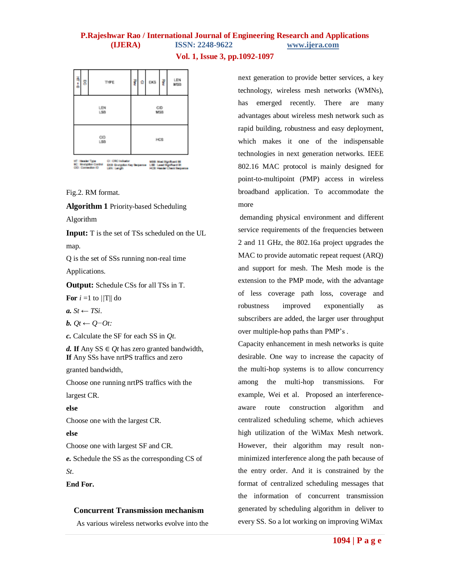| ĺ          | 8 |                      |  | TYPE                            |            | ş | Ω | EKB | ę | LEN<br>MSB                                       |
|------------|---|----------------------|--|---------------------------------|------------|---|---|-----|---|--------------------------------------------------|
| LEN<br>L50 |   |                      |  |                                 | CID<br>MSB |   |   |     |   |                                                  |
| CID<br>LSD |   |                      |  |                                 | HCS        |   |   |     |   |                                                  |
|            |   | <b>Charles Corp.</b> |  | after a shipper day discussion. |            |   |   |     |   | A stability is also and data on the course about |

Fig.2. RM format.

**Algorithm 1** Priority-based Scheduling

Algorithm

**Input:** T is the set of TSs scheduled on the UL map.

Q is the set of SSs running non-real time Applications.

**Output:** Schedule CSs for all TSs in T.

**For**  $i = 1$  to  $||T||$  do

*a. St* ← *TSi*.

$$
b. Qt \leftarrow Q \neg \mathit{O}t
$$

*c.* Calculate the SF for each SS in *Qt*.

*d.* **If** Any SS ∈ *Ot* has zero granted bandwidth, **If** Any SSs have nrtPS traffics and zero

granted bandwidth,

Choose one running nrtPS traffics with the

largest CR.

**else**

Choose one with the largest CR.

### **else**

Choose one with largest SF and CR.

*e.* Schedule the SS as the corresponding CS of *St*.

### **End For.**

### **Concurrent Transmission mechanism**

As various wireless networks evolve into the

next generation to provide better services, a key technology, wireless mesh networks (WMNs), has emerged recently. There are many advantages about wireless mesh network such as rapid building, robustness and easy deployment, which makes it one of the indispensable technologies in next generation networks. IEEE 802.16 MAC protocol is mainly designed for point-to-multipoint (PMP) access in wireless broadband application. To accommodate the more

demanding physical environment and different service requirements of the frequencies between 2 and 11 GHz, the 802.16a project upgrades the MAC to provide automatic repeat request (ARQ) and support for mesh. The Mesh mode is the extension to the PMP mode, with the advantage of less coverage path loss, coverage and robustness improved exponentially as subscribers are added, the larger user throughput over multiple-hop paths than PMP's .

Capacity enhancement in mesh networks is quite desirable. One way to increase the capacity of the multi-hop systems is to allow concurrency among the multi-hop transmissions. For example, Wei et al. Proposed an interferenceaware route construction algorithm and centralized scheduling scheme, which achieves high utilization of the WiMax Mesh network. However, their algorithm may result nonminimized interference along the path because of the entry order. And it is constrained by the format of centralized scheduling messages that the information of concurrent transmission generated by scheduling algorithm in deliver to every SS. So a lot working on improving WiMax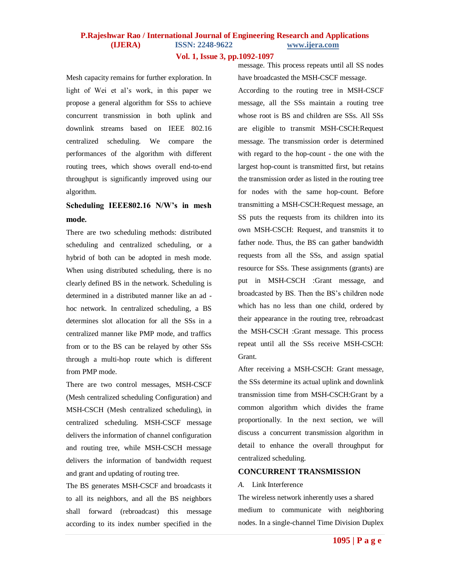**Vol. 1, Issue 3, pp.1092-1097**

Mesh capacity remains for further exploration. In light of Wei et al's work, in this paper we propose a general algorithm for SSs to achieve concurrent transmission in both uplink and downlink streams based on IEEE 802.16 centralized scheduling. We compare the performances of the algorithm with different routing trees, which shows overall end-to-end throughput is significantly improved using our algorithm.

# **Scheduling IEEE802.16 N/W's in mesh mode.**

There are two scheduling methods: distributed scheduling and centralized scheduling, or a hybrid of both can be adopted in mesh mode. When using distributed scheduling, there is no clearly defined BS in the network. Scheduling is determined in a distributed manner like an ad hoc network. In centralized scheduling, a BS determines slot allocation for all the SSs in a centralized manner like PMP mode, and traffics from or to the BS can be relayed by other SSs through a multi-hop route which is different from PMP mode.

There are two control messages, MSH-CSCF (Mesh centralized scheduling Configuration) and MSH-CSCH (Mesh centralized scheduling), in centralized scheduling. MSH-CSCF message delivers the information of channel configuration and routing tree, while MSH-CSCH message delivers the information of bandwidth request and grant and updating of routing tree.

The BS generates MSH-CSCF and broadcasts it to all its neighbors, and all the BS neighbors shall forward (rebroadcast) this message according to its index number specified in the

message. This process repeats until all SS nodes have broadcasted the MSH-CSCF message. According to the routing tree in MSH-CSCF message, all the SSs maintain a routing tree whose root is BS and children are SSs. All SSs are eligible to transmit MSH-CSCH:Request message. The transmission order is determined with regard to the hop-count - the one with the largest hop-count is transmitted first, but retains the transmission order as listed in the routing tree for nodes with the same hop-count. Before transmitting a MSH-CSCH:Request message, an SS puts the requests from its children into its own MSH-CSCH: Request, and transmits it to father node. Thus, the BS can gather bandwidth requests from all the SSs, and assign spatial resource for SSs. These assignments (grants) are put in MSH-CSCH :Grant message, and broadcasted by BS. Then the BS's children node which has no less than one child, ordered by their appearance in the routing tree, rebroadcast the MSH-CSCH :Grant message. This process repeat until all the SSs receive MSH-CSCH: Grant.

After receiving a MSH-CSCH: Grant message, the SSs determine its actual uplink and downlink transmission time from MSH-CSCH:Grant by a common algorithm which divides the frame proportionally. In the next section, we will discuss a concurrent transmission algorithm in detail to enhance the overall throughput for centralized scheduling.

### **CONCURRENT TRANSMISSION**

#### *A.* Link Interference

The wireless network inherently uses a shared medium to communicate with neighboring nodes. In a single-channel Time Division Duplex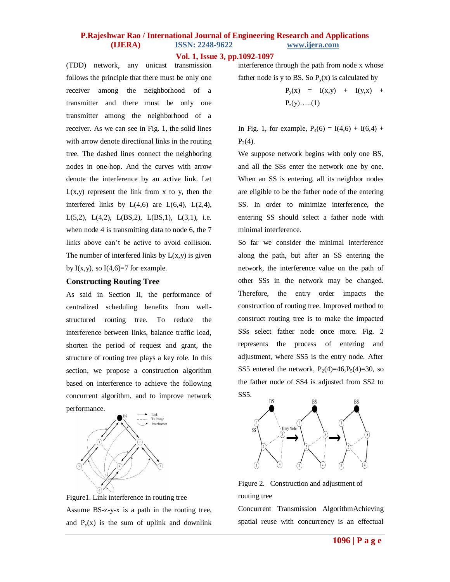### **Vol. 1, Issue 3, pp.1092-1097**

(TDD) network, any unicast transmission follows the principle that there must be only one receiver among the neighborhood of a transmitter and there must be only one transmitter among the neighborhood of a receiver. As we can see in Fig. 1, the solid lines with arrow denote directional links in the routing tree. The dashed lines connect the neighboring nodes in one-hop. And the curves with arrow denote the interference by an active link. Let  $L(x,y)$  represent the link from x to y, then the interfered links by  $L(4,6)$  are  $L(6,4)$ ,  $L(2,4)$ , L(5,2), L(4,2), L(BS,2), L(BS,1), L(3,1), i.e. when node 4 is transmitting data to node 6, the 7 links above can't be active to avoid collision. The number of interfered links by  $L(x,y)$  is given by  $I(x,y)$ , so  $I(4,6)=7$  for example.

#### **Constructing Routing Tree**

As said in Section II, the performance of centralized scheduling benefits from wellstructured routing tree. To reduce the interference between links, balance traffic load, shorten the period of request and grant, the structure of routing tree plays a key role. In this section, we propose a construction algorithm based on interference to achieve the following concurrent algorithm, and to improve network performance.



Figure1. Link interference in routing tree Assume BS-z-y-x is a path in the routing tree, and  $P_y(x)$  is the sum of uplink and downlink interference through the path from node x whose father node is y to BS. So  $P_v(x)$  is calculated by

$$
P_y(x) = I(x,y) + I(y,x) + P_z(y) \dots (1)
$$

In Fig. 1, for example,  $P_4(6) = I(4,6) + I(6,4) +$  $P_2(4)$ .

We suppose network begins with only one BS, and all the SSs enter the network one by one. When an SS is entering, all its neighbor nodes are eligible to be the father node of the entering SS. In order to minimize interference, the entering SS should select a father node with minimal interference.

So far we consider the minimal interference along the path, but after an SS entering the network, the interference value on the path of other SSs in the network may be changed. Therefore, the entry order impacts the construction of routing tree. Improved method to construct routing tree is to make the impacted SSs select father node once more. Fig. 2 represents the process of entering and adjustment, where SS5 is the entry node. After SS5 entered the network,  $P_2(4)=46, P_5(4)=30$ , so the father node of SS4 is adjusted from SS2 to SS5.



Figure 2. Construction and adjustment of routing tree

Concurrent Transmission AlgorithmAchieving spatial reuse with concurrency is an effectual